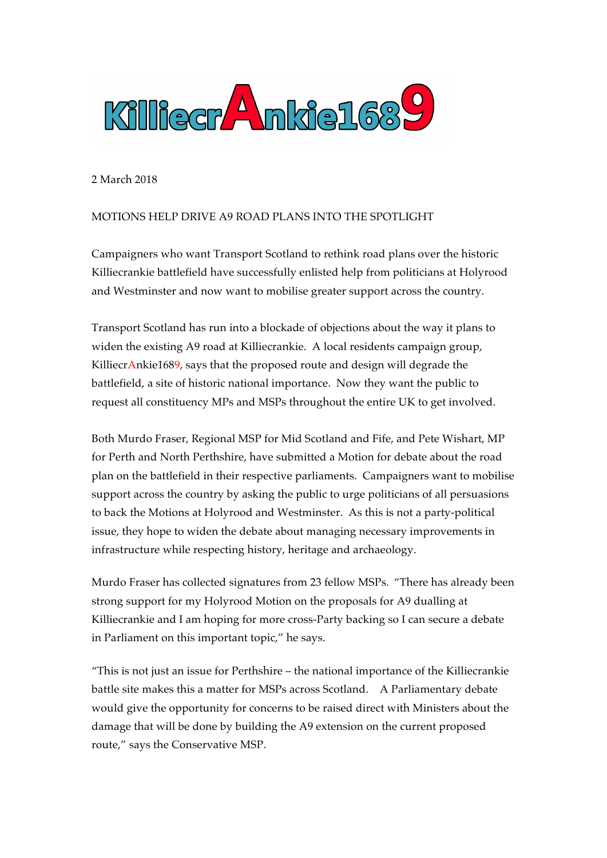

2 March 2018

## MOTIONS HELP DRIVE A9 ROAD PLANS INTO THE SPOTLIGHT

Campaigners who want Transport Scotland to rethink road plans over the historic Killiecrankie battlefield have successfully enlisted help from politicians at Holyrood and Westminster and now want to mobilise greater support across the country.

Transport Scotland has run into a blockade of objections about the way it plans to widen the existing A9 road at Killiecrankie. A local residents campaign group, KilliecrAnkie1689, says that the proposed route and design will degrade the battlefield, a site of historic national importance. Now they want the public to request all constituency MPs and MSPs throughout the entire UK to get involved.

Both Murdo Fraser, Regional MSP for Mid Scotland and Fife, and Pete Wishart, MP for Perth and North Perthshire, have submitted a Motion for debate about the road plan on the battlefield in their respective parliaments. Campaigners want to mobilise support across the country by asking the public to urge politicians of all persuasions to back the Motions at Holyrood and Westminster. As this is not a party-political issue, they hope to widen the debate about managing necessary improvements in infrastructure while respecting history, heritage and archaeology.

Murdo Fraser has collected signatures from 23 fellow MSPs. "There has already been strong support for my Holyrood Motion on the proposals for A9 dualling at Killiecrankie and I am hoping for more cross-Party backing so I can secure a debate in Parliament on this important topic," he says.

"This is not just an issue for Perthshire – the national importance of the Killiecrankie battle site makes this a matter for MSPs across Scotland. A Parliamentary debate would give the opportunity for concerns to be raised direct with Ministers about the damage that will be done by building the A9 extension on the current proposed route," says the Conservative MSP.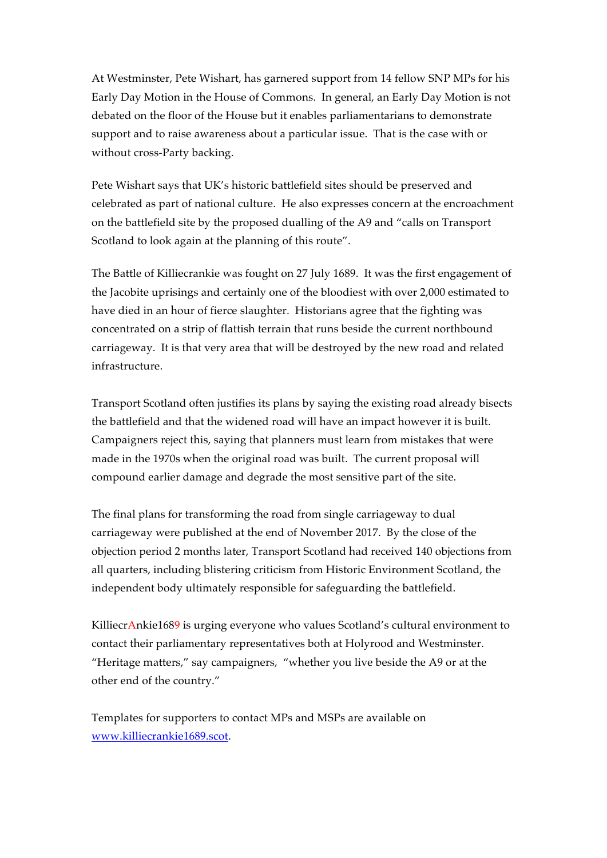At Westminster, Pete Wishart, has garnered support from 14 fellow SNP MPs for his Early Day Motion in the House of Commons. In general, an Early Day Motion is not debated on the floor of the House but it enables parliamentarians to demonstrate support and to raise awareness about a particular issue. That is the case with or without cross-Party backing.

Pete Wishart says that UK's historic battlefield sites should be preserved and celebrated as part of national culture. He also expresses concern at the encroachment on the battlefield site by the proposed dualling of the A9 and "calls on Transport Scotland to look again at the planning of this route".

The Battle of Killiecrankie was fought on 27 July 1689. It was the first engagement of the Jacobite uprisings and certainly one of the bloodiest with over 2,000 estimated to have died in an hour of fierce slaughter. Historians agree that the fighting was concentrated on a strip of flattish terrain that runs beside the current northbound carriageway. It is that very area that will be destroyed by the new road and related infrastructure.

Transport Scotland often justifies its plans by saying the existing road already bisects the battlefield and that the widened road will have an impact however it is built. Campaigners reject this, saying that planners must learn from mistakes that were made in the 1970s when the original road was built. The current proposal will compound earlier damage and degrade the most sensitive part of the site.

The final plans for transforming the road from single carriageway to dual carriageway were published at the end of November 2017. By the close of the objection period 2 months later, Transport Scotland had received 140 objections from all quarters, including blistering criticism from Historic Environment Scotland, the independent body ultimately responsible for safeguarding the battlefield.

KilliecrAnkie1689 is urging everyone who values Scotland's cultural environment to contact their parliamentary representatives both at Holyrood and Westminster. "Heritage matters," say campaigners, "whether you live beside the A9 or at the other end of the country."

Templates for supporters to contact MPs and MSPs are available on www.killiecrankie1689.scot.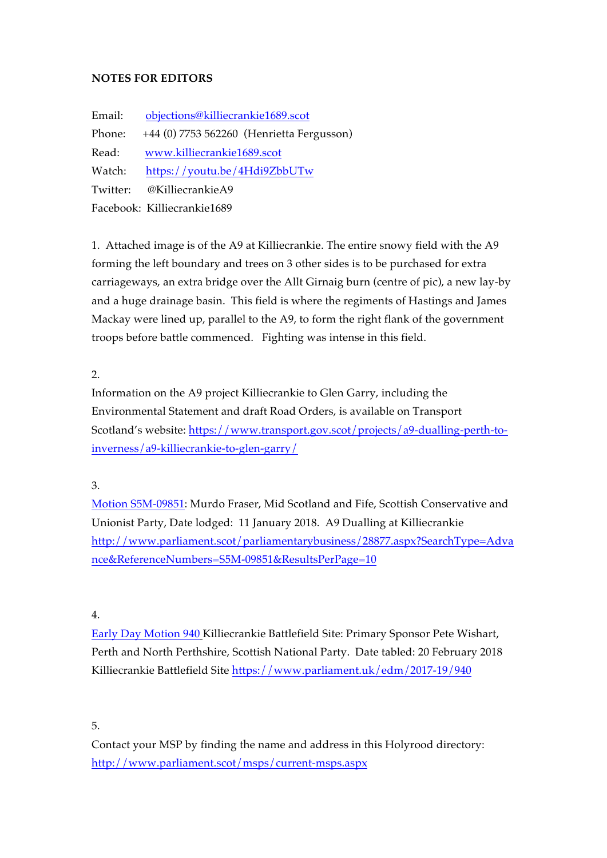## **NOTES FOR EDITORS**

Email: objections@killiecrankie1689.scot Phone: +44 (0) 7753 562260 (Henrietta Fergusson) Read: www.killiecrankie1689.scot Watch: https://youtu.be/4Hdi9ZbbUTw Twitter: @KilliecrankieA9 Facebook: Killiecrankie1689

1. Attached image is of the A9 at Killiecrankie. The entire snowy field with the A9 forming the left boundary and trees on 3 other sides is to be purchased for extra carriageways, an extra bridge over the Allt Girnaig burn (centre of pic), a new lay-by and a huge drainage basin. This field is where the regiments of Hastings and James Mackay were lined up, parallel to the A9, to form the right flank of the government troops before battle commenced. Fighting was intense in this field.

2.

Information on the A9 project Killiecrankie to Glen Garry, including the Environmental Statement and draft Road Orders, is available on Transport Scotland's website: https://www.transport.gov.scot/projects/a9-dualling-perth-toinverness/a9-killiecrankie-to-glen-garry/

3.

Motion S5M-09851: Murdo Fraser, Mid Scotland and Fife, Scottish Conservative and Unionist Party, Date lodged: 11 January 2018. A9 Dualling at Killiecrankie http://www.parliament.scot/parliamentarybusiness/28877.aspx?SearchType=Adva nce&ReferenceNumbers=S5M-09851&ResultsPerPage=10

4.

Early Day Motion 940 Killiecrankie Battlefield Site: Primary Sponsor Pete Wishart, Perth and North Perthshire, Scottish National Party. Date tabled: 20 February 2018 Killiecrankie Battlefield Site https://www.parliament.uk/edm/2017-19/940

5.

Contact your MSP by finding the name and address in this Holyrood directory: http://www.parliament.scot/msps/current-msps.aspx